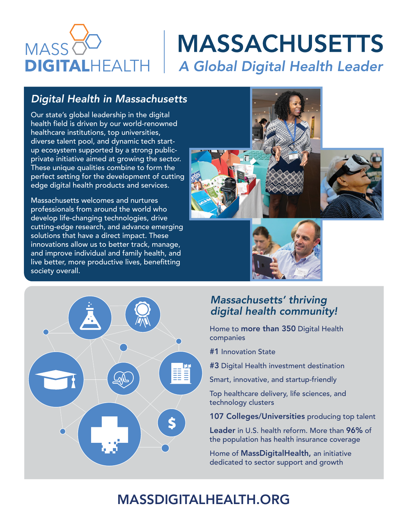# **MASSACHUSETTS [DIGITAL](https://www.massdigitalhealth.org/)**HEALTH *A Global Digital Health Leader*

### *Digital Health in Massachusetts*

**MASS** 

Our state's global leadership in the digital health field is driven by our world-renowned healthcare institutions, top universities, diverse talent pool, and dynamic tech startup ecosystem supported by a strong publicprivate initiative aimed at growing the sector. These unique qualities combine to form the perfect setting for the development of cutting edge digital health products and services.

Massachusetts welcomes and nurtures professionals from around the world who develop life-changing technologies, drive cutting-edge research, and advance emerging solutions that have a direct impact. These innovations allow us to better track, manage, and improve individual and family health, and live better, more productive lives, benefitting society overall.







### *Massachusetts' thriving digital health community!*

Home to more than 350 Digital Health companies

#1 Innovation State

#3 Digital Health investment destination

Smart, innovative, and startup-friendly

Top healthcare delivery, life sciences, and technology clusters

107 Colleges/Universities producing top talent

Leader in U.S. health reform. More than 96% of the population has health insurance coverage

Home of MassDigitalHealth, an initiative dedicated to sector support and growth

# [MASSDIGITALHEALTH.ORG](https://www.massdigitalhealth.org/)